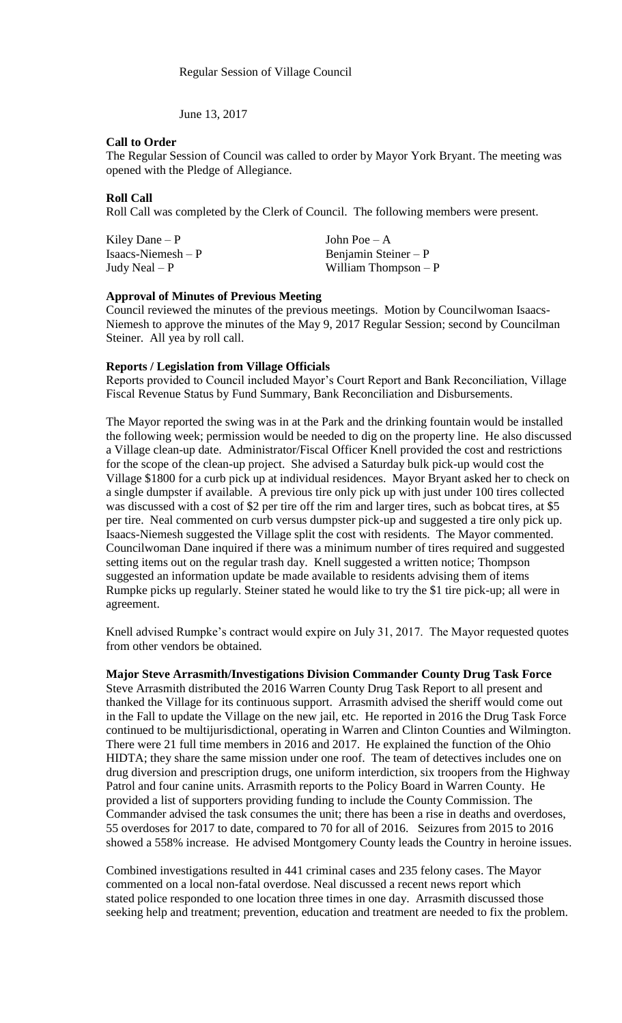June 13, 2017

### **Call to Order**

The Regular Session of Council was called to order by Mayor York Bryant. The meeting was opened with the Pledge of Allegiance.

## **Roll Call**

Roll Call was completed by the Clerk of Council. The following members were present.

Kiley Dane – P  $\qquad \qquad$  John Poe – A

Isaacs-Niemesh – P Benjamin Steiner – P Undy Neal – P William Thompson – William Thompson –  $P$ 

### **Approval of Minutes of Previous Meeting**

Council reviewed the minutes of the previous meetings. Motion by Councilwoman Isaacs-Niemesh to approve the minutes of the May 9, 2017 Regular Session; second by Councilman Steiner. All yea by roll call.

## **Reports / Legislation from Village Officials**

Reports provided to Council included Mayor's Court Report and Bank Reconciliation, Village Fiscal Revenue Status by Fund Summary, Bank Reconciliation and Disbursements.

The Mayor reported the swing was in at the Park and the drinking fountain would be installed the following week; permission would be needed to dig on the property line. He also discussed a Village clean-up date. Administrator/Fiscal Officer Knell provided the cost and restrictions for the scope of the clean-up project. She advised a Saturday bulk pick-up would cost the Village \$1800 for a curb pick up at individual residences. Mayor Bryant asked her to check on a single dumpster if available. A previous tire only pick up with just under 100 tires collected was discussed with a cost of \$2 per tire off the rim and larger tires, such as bobcat tires, at \$5 per tire. Neal commented on curb versus dumpster pick-up and suggested a tire only pick up. Isaacs-Niemesh suggested the Village split the cost with residents. The Mayor commented. Councilwoman Dane inquired if there was a minimum number of tires required and suggested setting items out on the regular trash day. Knell suggested a written notice; Thompson suggested an information update be made available to residents advising them of items Rumpke picks up regularly. Steiner stated he would like to try the \$1 tire pick-up; all were in agreement.

Knell advised Rumpke's contract would expire on July 31, 2017. The Mayor requested quotes from other vendors be obtained.

**Major Steve Arrasmith/Investigations Division Commander County Drug Task Force** Steve Arrasmith distributed the 2016 Warren County Drug Task Report to all present and thanked the Village for its continuous support. Arrasmith advised the sheriff would come out in the Fall to update the Village on the new jail, etc. He reported in 2016 the Drug Task Force continued to be multijurisdictional, operating in Warren and Clinton Counties and Wilmington. There were 21 full time members in 2016 and 2017. He explained the function of the Ohio HIDTA; they share the same mission under one roof. The team of detectives includes one on drug diversion and prescription drugs, one uniform interdiction, six troopers from the Highway Patrol and four canine units. Arrasmith reports to the Policy Board in Warren County. He provided a list of supporters providing funding to include the County Commission. The Commander advised the task consumes the unit; there has been a rise in deaths and overdoses, 55 overdoses for 2017 to date, compared to 70 for all of 2016. Seizures from 2015 to 2016 showed a 558% increase. He advised Montgomery County leads the Country in heroine issues.

Combined investigations resulted in 441 criminal cases and 235 felony cases. The Mayor commented on a local non-fatal overdose. Neal discussed a recent news report which stated police responded to one location three times in one day. Arrasmith discussed those seeking help and treatment; prevention, education and treatment are needed to fix the problem.